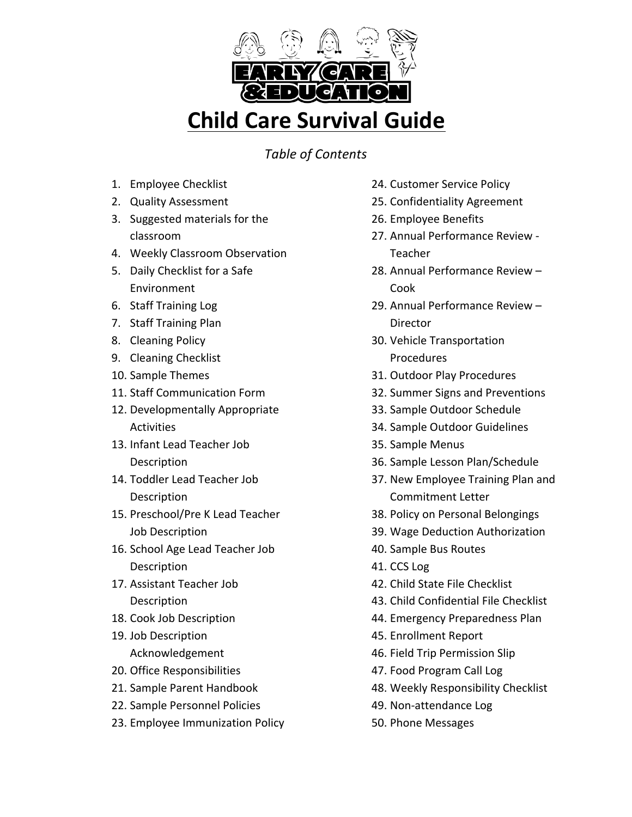

*Table of Contents*

- 1. Employee Checklist
- 2. Quality Assessment
- 3. Suggested materials for the classroom
- 4. Weekly Classroom Observation
- 5. Daily Checklist for a Safe Environment
- 6. Staff Training Log
- 7. Staff Training Plan
- 8. Cleaning Policy
- 9. Cleaning Checklist
- 10. Sample Themes
- 11. Staff Communication Form
- 12. Developmentally Appropriate Activities
- 13. Infant Lead Teacher Job **Description**
- 14. Toddler Lead Teacher Job Description
- 15. Preschool/Pre K Lead Teacher Job Description
- 16. School Age Lead Teacher Job Description
- 17. Assistant Teacher Job **Description**
- 18. Cook Job Description
- 19. Job Description Acknowledgement
- 20. Office Responsibilities
- 21. Sample Parent Handbook
- 22. Sample Personnel Policies
- 23. Employee Immunization Policy
- 24. Customer Service Policy
- 25. Confidentiality Agreement
- 26. Employee Benefits
- 27. Annual Performance Review -**Teacher**
- 28. Annual Performance Review -Cook
- 29. Annual Performance Review -Director
- 30. Vehicle Transportation Procedures
- 31. Outdoor Play Procedures
- 32. Summer Signs and Preventions
- 33. Sample Outdoor Schedule
- 34. Sample Outdoor Guidelines
- 35. Sample Menus
- 36. Sample Lesson Plan/Schedule
- 37. New Employee Training Plan and Commitment Letter
- 38. Policy on Personal Belongings
- 39. Wage Deduction Authorization
- 40. Sample Bus Routes
- 41. CCS Log
- 42. Child State File Checklist
- 43. Child Confidential File Checklist
- 44. Emergency Preparedness Plan
- 45. Enrollment Report
- 46. Field Trip Permission Slip
- 47. Food Program Call Log
- 48. Weekly Responsibility Checklist
- 49. Non-attendance Log
- 50. Phone Messages